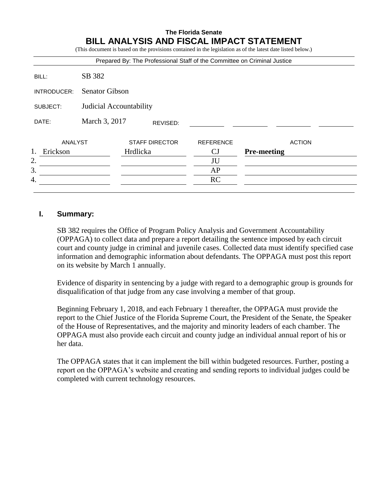# **The Florida Senate BILL ANALYSIS AND FISCAL IMPACT STATEMENT**

|                                     |                           | Prepared By: The Professional Staff of the Committee on Criminal Justice |                  | (This document is based on the provisions contained in the legislation as of the latest date listed below.) |
|-------------------------------------|---------------------------|--------------------------------------------------------------------------|------------------|-------------------------------------------------------------------------------------------------------------|
| BILL:                               | SB 382                    |                                                                          |                  |                                                                                                             |
| INTRODUCER:                         | <b>Senator Gibson</b>     |                                                                          |                  |                                                                                                             |
| Judicial Accountability<br>SUBJECT: |                           |                                                                          |                  |                                                                                                             |
| DATE:                               | March 3, 2017<br>REVISED: |                                                                          |                  |                                                                                                             |
| ANALYST                             |                           | <b>STAFF DIRECTOR</b>                                                    | <b>REFERENCE</b> | <b>ACTION</b>                                                                                               |
| 1.<br>Erickson                      |                           | Hrdlicka                                                                 | CJ               | <b>Pre-meeting</b>                                                                                          |
| 2.                                  |                           |                                                                          | JU               |                                                                                                             |
| 3.                                  |                           |                                                                          | AP               |                                                                                                             |
| 4.                                  |                           |                                                                          | <b>RC</b>        |                                                                                                             |

### **I. Summary:**

SB 382 requires the Office of Program Policy Analysis and Government Accountability (OPPAGA) to collect data and prepare a report detailing the sentence imposed by each circuit court and county judge in criminal and juvenile cases. Collected data must identify specified case information and demographic information about defendants. The OPPAGA must post this report on its website by March 1 annually.

Evidence of disparity in sentencing by a judge with regard to a demographic group is grounds for disqualification of that judge from any case involving a member of that group.

Beginning February 1, 2018, and each February 1 thereafter, the OPPAGA must provide the report to the Chief Justice of the Florida Supreme Court, the President of the Senate, the Speaker of the House of Representatives, and the majority and minority leaders of each chamber. The OPPAGA must also provide each circuit and county judge an individual annual report of his or her data.

The OPPAGA states that it can implement the bill within budgeted resources. Further, posting a report on the OPPAGA's website and creating and sending reports to individual judges could be completed with current technology resources.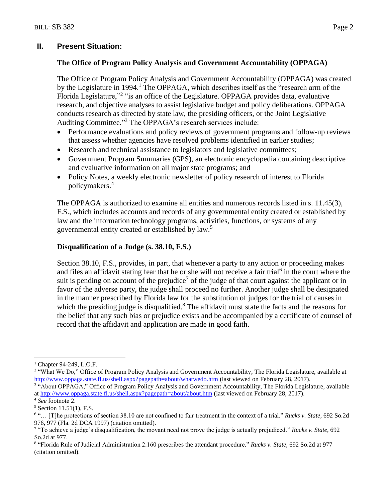## **II. Present Situation:**

## **The Office of Program Policy Analysis and Government Accountability (OPPAGA)**

The Office of Program Policy Analysis and Government Accountability (OPPAGA) was created by the Legislature in 1994.<sup>1</sup> The OPPAGA, which describes itself as the "research arm of the Florida Legislature,"<sup>2</sup> "is an office of the Legislature. OPPAGA provides data, evaluative research, and objective analyses to assist legislative budget and policy deliberations. OPPAGA conducts research as directed by state law, the presiding officers, or the Joint Legislative Auditing Committee." <sup>3</sup> The OPPAGA's research services include:

- Performance evaluations and policy reviews of government programs and follow-up reviews that assess whether agencies have resolved problems identified in earlier studies;
- Research and technical assistance to legislators and legislative committees;
- Government Program Summaries (GPS), an electronic encyclopedia containing descriptive and evaluative information on all major state programs; and
- Policy Notes, a weekly electronic newsletter of policy research of interest to Florida policymakers. 4

The OPPAGA is authorized to examine all entities and numerous records listed in s. 11.45(3), F.S., which includes accounts and records of any governmental entity created or established by law and the information technology programs, activities, functions, or systems of any governmental entity created or established by law.<sup>5</sup>

### **Disqualification of a Judge (s. 38.10, F.S.)**

Section 38.10, F.S., provides, in part, that whenever a party to any action or proceeding makes and files an affidavit stating fear that he or she will not receive a fair trial<sup>6</sup> in the court where the suit is pending on account of the prejudice<sup>7</sup> of the judge of that court against the applicant or in favor of the adverse party, the judge shall proceed no further. Another judge shall be designated in the manner prescribed by Florida law for the substitution of judges for the trial of causes in which the presiding judge is disqualified. $8$  The affidavit must state the facts and the reasons for the belief that any such bias or prejudice exists and be accompanied by a certificate of counsel of record that the affidavit and application are made in good faith.

 $\overline{a}$ 

<sup>1</sup> Chapter 94-249, L.O.F.

<sup>&</sup>lt;sup>2</sup> "What We Do," Office of Program Policy Analysis and Government Accountability, The Florida Legislature, available at <http://www.oppaga.state.fl.us/shell.aspx?pagepath=about/whatwedo.htm> (last viewed on February 28, 2017).

<sup>3</sup> "About OPPAGA," Office of Program Policy Analysis and Government Accountability, The Florida Legislature, available a[t http://www.oppaga.state.fl.us/shell.aspx?pagepath=about/about.htm](http://www.oppaga.state.fl.us/shell.aspx?pagepath=about/about.htm) (last viewed on February 28, 2017).

<sup>4</sup> *See* footnote 2.

 $5$  Section 11.51(1), F.S.

<sup>6</sup> "… [T]he protections of section 38.10 are not confined to fair treatment in the context of a trial." *Rucks v. State*, 692 So.2d 976, 977 (Fla. 2d DCA 1997) (citation omitted).

<sup>7</sup> "To achieve a judge's disqualification, the movant need not prove the judge is actually prejudiced." *Rucks v. State*, 692 So.2d at 977.

<sup>8</sup> "Florida Rule of Judicial Administration 2.160 prescribes the attendant procedure." *Rucks v. State*, 692 So.2d at 977 (citation omitted).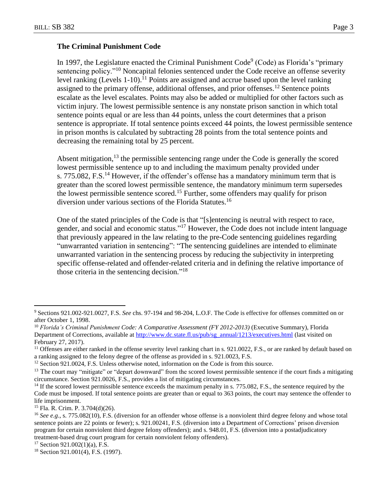### **The Criminal Punishment Code**

In 1997, the Legislature enacted the Criminal Punishment Code<sup>9</sup> (Code) as Florida's "primary sentencing policy."<sup>10</sup> Noncapital felonies sentenced under the Code receive an offense severity level ranking (Levels 1-10).<sup>11</sup> Points are assigned and accrue based upon the level ranking assigned to the primary offense, additional offenses, and prior offenses.<sup>12</sup> Sentence points escalate as the level escalates. Points may also be added or multiplied for other factors such as victim injury. The lowest permissible sentence is any nonstate prison sanction in which total sentence points equal or are less than 44 points, unless the court determines that a prison sentence is appropriate. If total sentence points exceed 44 points, the lowest permissible sentence in prison months is calculated by subtracting 28 points from the total sentence points and decreasing the remaining total by 25 percent.

Absent mitigation,  $13$  the permissible sentencing range under the Code is generally the scored lowest permissible sentence up to and including the maximum penalty provided under s. 775.082, F.S.<sup>14</sup> However, if the offender's offense has a mandatory minimum term that is greater than the scored lowest permissible sentence, the mandatory minimum term supersedes the lowest permissible sentence scored.<sup>15</sup> Further, some offenders may qualify for prison diversion under various sections of the Florida Statutes.<sup>16</sup>

One of the stated principles of the Code is that "[s]entencing is neutral with respect to race, gender, and social and economic status."<sup>17</sup> However, the Code does not include intent language that previously appeared in the law relating to the pre-Code sentencing guidelines regarding "unwarranted variation in sentencing": "The sentencing guidelines are intended to eliminate unwarranted variation in the sentencing process by reducing the subjectivity in interpreting specific offense-related and offender-related criteria and in defining the relative importance of those criteria in the sentencing decision."<sup>18</sup>

 $\overline{a}$ 

 $17$  Section 921.002(1)(a), F.S.

<sup>9</sup> Sections 921.002-921.0027, F.S. *See* chs. 97-194 and 98-204, L.O.F. The Code is effective for offenses committed on or after October 1, 1998.

<sup>10</sup> *Florida's Criminal Punishment Code: A Comparative Assessment (FY 2012-2013)* (Executive Summary), Florida Department of Corrections, available at [http://www.dc.state.fl.us/pub/sg\\_annual/1213/executives.html](http://www.dc.state.fl.us/pub/sg_annual/1213/executives.html) (last visited on February 27, 2017).

<sup>&</sup>lt;sup>11</sup> Offenses are either ranked in the offense severity level ranking chart in s. 921.0022, F.S., or are ranked by default based on a ranking assigned to the felony degree of the offense as provided in s. 921.0023, F.S.

<sup>&</sup>lt;sup>12</sup> Section 921.0024, F.S. Unless otherwise noted, information on the Code is from this source.

<sup>&</sup>lt;sup>13</sup> The court may "mitigate" or "depart downward" from the scored lowest permissible sentence if the court finds a mitigating circumstance. Section 921.0026, F.S., provides a list of mitigating circumstances.

<sup>&</sup>lt;sup>14</sup> If the scored lowest permissible sentence exceeds the maximum penalty in s. 775.082, F.S., the sentence required by the Code must be imposed. If total sentence points are greater than or equal to 363 points, the court may sentence the offender to life imprisonment.

<sup>15</sup> Fla. R. Crim. P. 3.704(d)(26).

<sup>&</sup>lt;sup>16</sup> See e.g., s. 775.082(10), F.S. (diversion for an offender whose offense is a nonviolent third degree felony and whose total sentence points are 22 points or fewer); s. 921.00241, F.S. (diversion into a Department of Corrections' prison diversion program for certain nonviolent third degree felony offenders); and s. 948.01, F.S. (diversion into a postadjudicatory treatment-based drug court program for certain nonviolent felony offenders).

<sup>&</sup>lt;sup>18</sup> Section 921.001(4), F.S. (1997).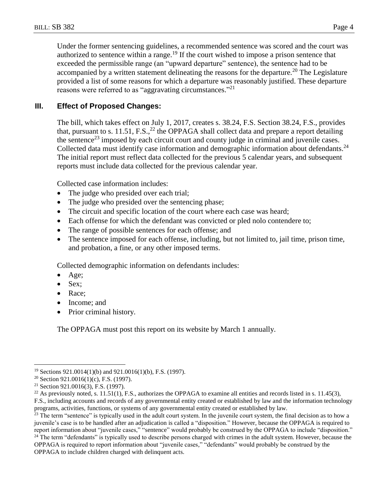Under the former sentencing guidelines, a recommended sentence was scored and the court was authorized to sentence within a range.<sup>19</sup> If the court wished to impose a prison sentence that exceeded the permissible range (an "upward departure" sentence), the sentence had to be accompanied by a written statement delineating the reasons for the departure.<sup>20</sup> The Legislature provided a list of some reasons for which a departure was reasonably justified. These departure reasons were referred to as "aggravating circumstances."<sup>21</sup>

## **III. Effect of Proposed Changes:**

The bill, which takes effect on July 1, 2017, creates s. 38.24, F.S. Section 38.24, F.S., provides that, pursuant to s. 11.51, F.S.,<sup>22</sup> the OPPAGA shall collect data and prepare a report detailing the sentence<sup>23</sup> imposed by each circuit court and county judge in criminal and juvenile cases. Collected data must identify case information and demographic information about defendants.<sup>24</sup> The initial report must reflect data collected for the previous 5 calendar years, and subsequent reports must include data collected for the previous calendar year.

Collected case information includes:

- The judge who presided over each trial;
- The judge who presided over the sentencing phase;
- The circuit and specific location of the court where each case was heard;
- Each offense for which the defendant was convicted or pled nolo contendere to;
- The range of possible sentences for each offense; and
- The sentence imposed for each offense, including, but not limited to, jail time, prison time, and probation, a fine, or any other imposed terms.

Collected demographic information on defendants includes:

- $\bullet$  Age;
- Sex;
- Race:
- Income; and
- Prior criminal history.

The OPPAGA must post this report on its website by March 1 annually.

 $\overline{a}$ 

 $22$  As previously noted, s. 11.51(1), F.S., authorizes the OPPAGA to examine all entities and records listed in s. 11.45(3),

F.S., including accounts and records of any governmental entity created or established by law and the information technology programs, activities, functions, or systems of any governmental entity created or established by law.

<sup>23</sup> The term "sentence" is typically used in the adult court system. In the juvenile court system, the final decision as to how a juvenile's case is to be handled after an adjudication is called a "disposition." However, because the OPPAGA is required to report information about "juvenile cases," "sentence" would probably be construed by the OPPAGA to include "disposition."  $24$  The term "defendants" is typically used to describe persons charged with crimes in the adult system. However, because the OPPAGA is required to report information about "juvenile cases," "defendants" would probably be construed by the OPPAGA to include children charged with delinquent acts.

<sup>19</sup> Sections 921.0014(1)(b) and 921.0016(1)(b), F.S. (1997).

<sup>&</sup>lt;sup>20</sup> Section 921.0016(1)(c), F.S. (1997).

<sup>21</sup> Section 921.0016(3), F.S. (1997).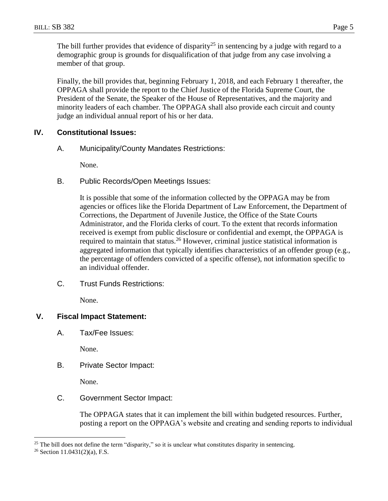The bill further provides that evidence of disparity<sup>25</sup> in sentencing by a judge with regard to a demographic group is grounds for disqualification of that judge from any case involving a member of that group.

Finally, the bill provides that, beginning February 1, 2018, and each February 1 thereafter, the OPPAGA shall provide the report to the Chief Justice of the Florida Supreme Court, the President of the Senate, the Speaker of the House of Representatives, and the majority and minority leaders of each chamber. The OPPAGA shall also provide each circuit and county judge an individual annual report of his or her data.

# **IV. Constitutional Issues:**

A. Municipality/County Mandates Restrictions:

None.

B. Public Records/Open Meetings Issues:

It is possible that some of the information collected by the OPPAGA may be from agencies or offices like the Florida Department of Law Enforcement, the Department of Corrections, the Department of Juvenile Justice, the Office of the State Courts Administrator, and the Florida clerks of court. To the extent that records information received is exempt from public disclosure or confidential and exempt, the OPPAGA is required to maintain that status.<sup>26</sup> However, criminal justice statistical information is aggregated information that typically identifies characteristics of an offender group (e.g., the percentage of offenders convicted of a specific offense), not information specific to an individual offender.

C. Trust Funds Restrictions:

None.

# **V. Fiscal Impact Statement:**

A. Tax/Fee Issues:

None.

B. Private Sector Impact:

None.

C. Government Sector Impact:

The OPPAGA states that it can implement the bill within budgeted resources. Further, posting a report on the OPPAGA's website and creating and sending reports to individual

 $\overline{a}$ 

<sup>&</sup>lt;sup>25</sup> The bill does not define the term "disparity," so it is unclear what constitutes disparity in sentencing.

<sup>26</sup> Section 11.0431(2)(a), F.S.